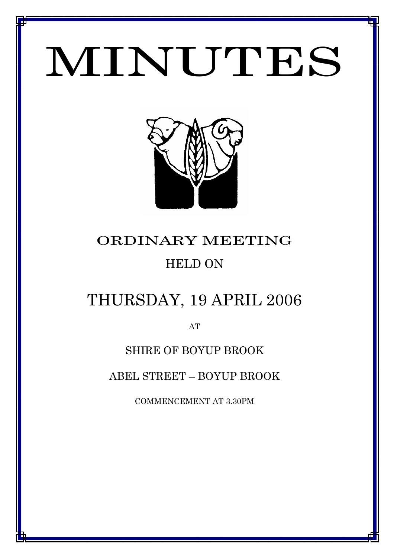# MINUTES

*MINUTES OF THE ORDINARY MEETING OF COUNCIL HELD ON 19 APRIL 2007*



# ORDINARY MEETING HELD ON

# THURSDAY, 19 APRIL 2006

AT

## SHIRE OF BOYUP BROOK

ABEL STREET – BOYUP BROOK

COMMENCEMENT AT 3.30PM

1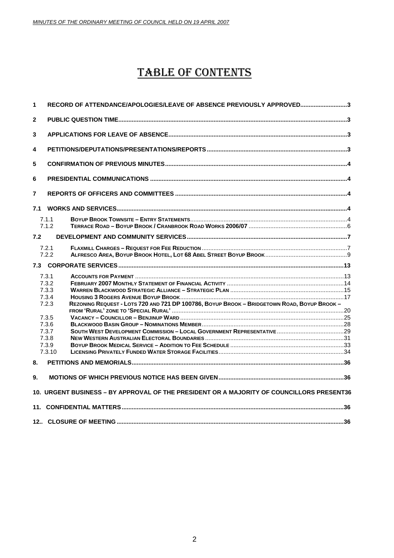# TABLE OF CONTENTS

| 1              | RECORD OF ATTENDANCE/APOLOGIES/LEAVE OF ABSENCE PREVIOUSLY APPROVED3                                                                     |  |
|----------------|------------------------------------------------------------------------------------------------------------------------------------------|--|
| $\overline{2}$ |                                                                                                                                          |  |
| 3              |                                                                                                                                          |  |
| 4              |                                                                                                                                          |  |
| 5              |                                                                                                                                          |  |
| 6              |                                                                                                                                          |  |
| $\overline{7}$ |                                                                                                                                          |  |
|                |                                                                                                                                          |  |
|                | 7.1.1<br>7.1.2                                                                                                                           |  |
| 7.2            |                                                                                                                                          |  |
|                | 7.2.1<br>7.2.2                                                                                                                           |  |
|                |                                                                                                                                          |  |
|                | 7.3.1<br>7.3.2<br>7.3.3<br>7.3.4<br>REZONING REQUEST - LOTS 720 AND 721 DP 100786, BOYUP BROOK - BRIDGETOWN ROAD, BOYUP BROOK -<br>7.2.3 |  |
|                | 7.3.5<br>7.3.6                                                                                                                           |  |
|                | 7.3.7                                                                                                                                    |  |
|                | 7.3.8                                                                                                                                    |  |
|                | 7.3.9                                                                                                                                    |  |
|                | 7.3.10                                                                                                                                   |  |
| 8.             |                                                                                                                                          |  |
| 9.             |                                                                                                                                          |  |
|                | 10. URGENT BUSINESS - BY APPROVAL OF THE PRESIDENT OR A MAJORITY OF COUNCILLORS PRESENT36                                                |  |
|                |                                                                                                                                          |  |
|                |                                                                                                                                          |  |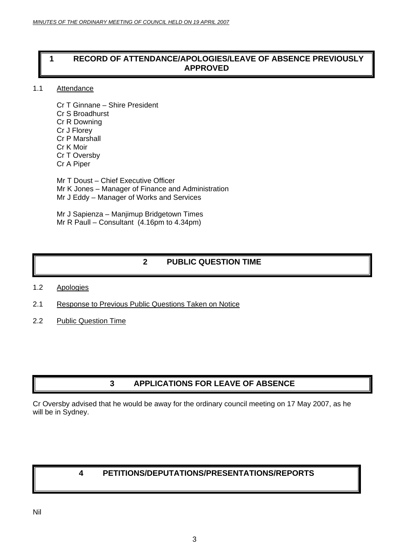## <span id="page-2-0"></span>**1 RECORD OF ATTENDANCE/APOLOGIES/LEAVE OF ABSENCE PREVIOUSLY APPROVED**

#### 1.1 Attendance

Cr T Ginnane – Shire President Cr S Broadhurst Cr R Downing Cr J Florey Cr P Marshall Cr K Moir Cr T Oversby Cr A Piper

Mr T Doust – Chief Executive Officer Mr K Jones – Manager of Finance and Administration Mr J Eddy – Manager of Works and Services

Mr J Sapienza – Manjimup Bridgetown Times Mr R Paull – Consultant (4.16pm to 4.34pm)

## **2 PUBLIC QUESTION TIME**

- 1.2 Apologies
- 2.1 Response to Previous Public Questions Taken on Notice
- 2.2 Public Question Time

## **3 APPLICATIONS FOR LEAVE OF ABSENCE**

Cr Oversby advised that he would be away for the ordinary council meeting on 17 May 2007, as he will be in Sydney.

## **4 PETITIONS/DEPUTATIONS/PRESENTATIONS/REPORTS**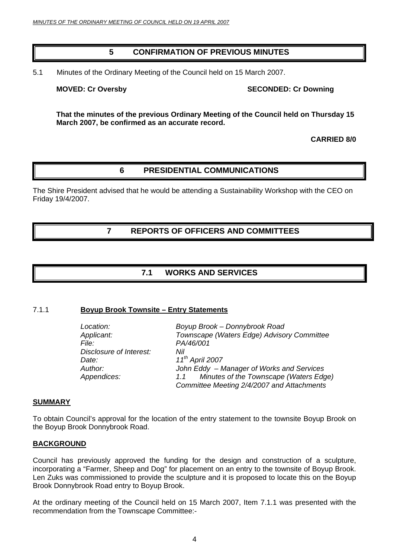#### **5 CONFIRMATION OF PREVIOUS MINUTES**

<span id="page-3-0"></span>5.1 Minutes of the Ordinary Meeting of the Council held on 15 March 2007.

**MOVED: Cr Oversby SECONDED: Cr Downing 1999** 

**That the minutes of the previous Ordinary Meeting of the Council held on Thursday 15 March 2007, be confirmed as an accurate record.**

**CARRIED 8/0** 

### **6 PRESIDENTIAL COMMUNICATIONS**

The Shire President advised that he would be attending a Sustainability Workshop with the CEO on Friday 19/4/2007.

**7 REPORTS OF OFFICERS AND COMMITTEES** 

## **7.1 WORKS AND SERVICES**

#### 7.1.1 **Boyup Brook Townsite – Entry Statements**

| Location:               | Boyup Brook - Donnybrook Road                 |
|-------------------------|-----------------------------------------------|
| Applicant:              | Townscape (Waters Edge) Advisory Committee    |
| File:                   | PA/46/001                                     |
| Disclosure of Interest: | Nil                                           |
| Date:                   | $11^{th}$ April 2007                          |
| Author:                 | John Eddy - Manager of Works and Services     |
| Appendices:             | Minutes of the Townscape (Waters Edge)<br>1.1 |
|                         | Committee Meeting 2/4/2007 and Attachments    |

#### **SUMMARY**

To obtain Council's approval for the location of the entry statement to the townsite Boyup Brook on the Boyup Brook Donnybrook Road.

#### **BACKGROUND**

Council has previously approved the funding for the design and construction of a sculpture, incorporating a "Farmer, Sheep and Dog" for placement on an entry to the townsite of Boyup Brook. Len Zuks was commissioned to provide the sculpture and it is proposed to locate this on the Boyup Brook Donnybrook Road entry to Boyup Brook.

At the ordinary meeting of the Council held on 15 March 2007, Item 7.1.1 was presented with the recommendation from the Townscape Committee:-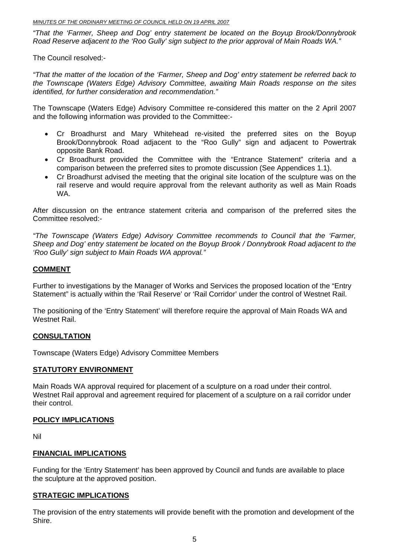*"That the 'Farmer, Sheep and Dog' entry statement be located on the Boyup Brook/Donnybrook Road Reserve adjacent to the 'Roo Gully' sign subject to the prior approval of Main Roads WA."* 

The Council resolved:-

*"That the matter of the location of the 'Farmer, Sheep and Dog' entry statement be referred back to the Townscape (Waters Edge) Advisory Committee, awaiting Main Roads response on the sites identified, for further consideration and recommendation."* 

The Townscape (Waters Edge) Advisory Committee re-considered this matter on the 2 April 2007 and the following information was provided to the Committee:-

- Cr Broadhurst and Mary Whitehead re-visited the preferred sites on the Boyup Brook/Donnybrook Road adjacent to the "Roo Gully" sign and adjacent to Powertrak opposite Bank Road.
- Cr Broadhurst provided the Committee with the "Entrance Statement" criteria and a comparison between the preferred sites to promote discussion (See Appendices 1.1).
- Cr Broadhurst advised the meeting that the original site location of the sculpture was on the rail reserve and would require approval from the relevant authority as well as Main Roads WA.

After discussion on the entrance statement criteria and comparison of the preferred sites the Committee resolved:-

*"The Townscape (Waters Edge) Advisory Committee recommends to Council that the 'Farmer, Sheep and Dog' entry statement be located on the Boyup Brook / Donnybrook Road adjacent to the 'Roo Gully' sign subject to Main Roads WA approval."* 

#### **COMMENT**

Further to investigations by the Manager of Works and Services the proposed location of the "Entry Statement" is actually within the 'Rail Reserve' or 'Rail Corridor' under the control of Westnet Rail.

The positioning of the 'Entry Statement' will therefore require the approval of Main Roads WA and Westnet Rail.

#### **CONSULTATION**

Townscape (Waters Edge) Advisory Committee Members

#### **STATUTORY ENVIRONMENT**

Main Roads WA approval required for placement of a sculpture on a road under their control. Westnet Rail approval and agreement required for placement of a sculpture on a rail corridor under their control.

#### **POLICY IMPLICATIONS**

Nil

#### **FINANCIAL IMPLICATIONS**

Funding for the 'Entry Statement' has been approved by Council and funds are available to place the sculpture at the approved position.

#### **STRATEGIC IMPLICATIONS**

The provision of the entry statements will provide benefit with the promotion and development of the Shire.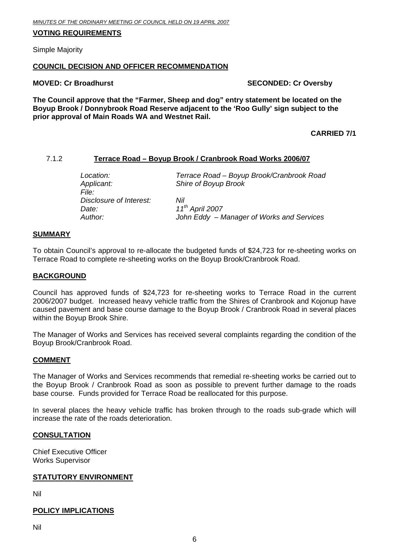#### <span id="page-5-0"></span>**VOTING REQUIREMENTS**

Simple Majority

#### **COUNCIL DECISION AND OFFICER RECOMMENDATION**

#### **MOVED: Cr Broadhurst SECONDED: Cr Oversby**

**The Council approve that the "Farmer, Sheep and dog" entry statement be located on the Boyup Brook / Donnybrook Road Reserve adjacent to the 'Roo Gully' sign subject to the prior approval of Main Roads WA and Westnet Rail.** 

**CARRIED 7/1** 

#### 7.1.2 **Terrace Road – Boyup Brook / Cranbrook Road Works 2006/07**

| Location:               | Terrace Road - Boyup Brook/Cranbrook Road |
|-------------------------|-------------------------------------------|
| Applicant:              | Shire of Boyup Brook                      |
| File:                   |                                           |
| Disclosure of Interest: | Nil                                       |
| Date:                   | $11^{th}$ April 2007                      |
| Author:                 | John Eddy - Manager of Works and Services |

#### **SUMMARY**

To obtain Council's approval to re-allocate the budgeted funds of \$24,723 for re-sheeting works on Terrace Road to complete re-sheeting works on the Boyup Brook/Cranbrook Road.

#### **BACKGROUND**

Council has approved funds of \$24,723 for re-sheeting works to Terrace Road in the current 2006/2007 budget. Increased heavy vehicle traffic from the Shires of Cranbrook and Kojonup have caused pavement and base course damage to the Boyup Brook / Cranbrook Road in several places within the Boyup Brook Shire.

The Manager of Works and Services has received several complaints regarding the condition of the Boyup Brook/Cranbrook Road.

#### **COMMENT**

The Manager of Works and Services recommends that remedial re-sheeting works be carried out to the Boyup Brook / Cranbrook Road as soon as possible to prevent further damage to the roads base course. Funds provided for Terrace Road be reallocated for this purpose.

In several places the heavy vehicle traffic has broken through to the roads sub-grade which will increase the rate of the roads deterioration.

#### **CONSULTATION**

Chief Executive Officer Works Supervisor

#### **STATUTORY ENVIRONMENT**

Nil

#### **POLICY IMPLICATIONS**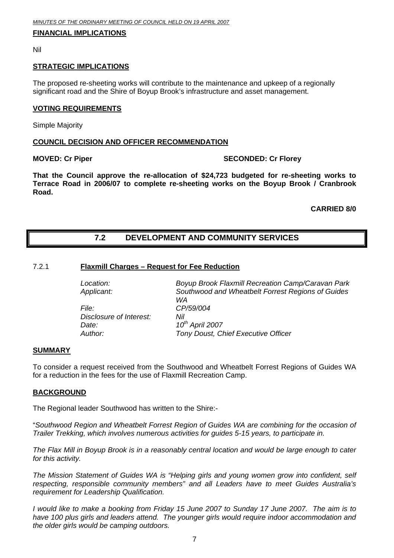#### <span id="page-6-0"></span>**FINANCIAL IMPLICATIONS**

Nil

#### **STRATEGIC IMPLICATIONS**

The proposed re-sheeting works will contribute to the maintenance and upkeep of a regionally significant road and the Shire of Boyup Brook's infrastructure and asset management.

#### **VOTING REQUIREMENTS**

Simple Majority

#### **COUNCIL DECISION AND OFFICER RECOMMENDATION**

#### **MOVED: Cr Piper SECONDED: Cr Florey**

**That the Council approve the re-allocation of \$24,723 budgeted for re-sheeting works to Terrace Road in 2006/07 to complete re-sheeting works on the Boyup Brook / Cranbrook Road.** 

**CARRIED 8/0** 

### **7.2 DEVELOPMENT AND COMMUNITY SERVICES**

#### 7.2.1 **Flaxmill Charges – Request for Fee Reduction**

| Location:               | <b>Boyup Brook Flaxmill Recreation Camp/Caravan Park</b> |
|-------------------------|----------------------------------------------------------|
| Applicant:              | Southwood and Wheatbelt Forrest Regions of Guides        |
|                         | WA                                                       |
| <i>File:</i>            | CP/59/004                                                |
| Disclosure of Interest: | Nil                                                      |
| Date:                   | 10 <sup>th</sup> April 2007                              |
| Author:                 | Tony Doust, Chief Executive Officer                      |
|                         |                                                          |

#### **SUMMARY**

To consider a request received from the Southwood and Wheatbelt Forrest Regions of Guides WA for a reduction in the fees for the use of Flaxmill Recreation Camp.

#### **BACKGROUND**

The Regional leader Southwood has written to the Shire:-

"*Southwood Region and Wheatbelt Forrest Region of Guides WA are combining for the occasion of Trailer Trekking, which involves numerous activities for guides 5-15 years, to participate in.* 

*The Flax Mill in Boyup Brook is in a reasonably central location and would be large enough to cater for this activity.* 

*The Mission Statement of Guides WA is "Helping girls and young women grow into confident, self respecting, responsible community members" and all Leaders have to meet Guides Australia's requirement for Leadership Qualification.* 

*I would like to make a booking from Friday 15 June 2007 to Sunday 17 June 2007. The aim is to have 100 plus girls and leaders attend. The younger girls would require indoor accommodation and the older girls would be camping outdoors.*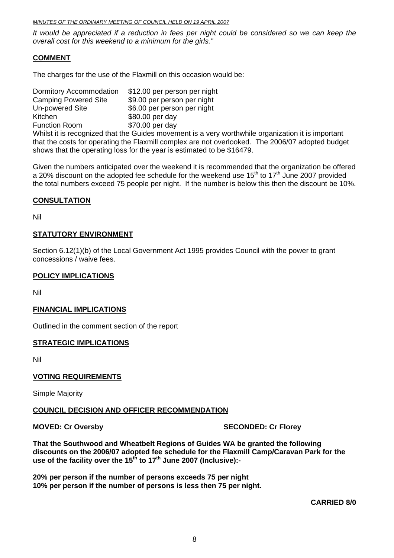*It would be appreciated if a reduction in fees per night could be considered so we can keep the overall cost for this weekend to a minimum for the girls."* 

#### **COMMENT**

The charges for the use of the Flaxmill on this occasion would be:

Dormitory Accommodation \$12.00 per person per night Camping Powered Site \$9.00 per person per night Un-powered Site \$6.00 per person per night Kitchen \$80.00 per day Function Room \$70.00 per day Whilst it is recognized that the Guides movement is a very worthwhile organization it is important that the costs for operating the Flaxmill complex are not overlooked. The 2006/07 adopted budget shows that the operating loss for the year is estimated to be \$16479.

Given the numbers anticipated over the weekend it is recommended that the organization be offered a 20% discount on the adopted fee schedule for the weekend use  $15<sup>th</sup>$  to  $17<sup>th</sup>$  June 2007 provided the total numbers exceed 75 people per night. If the number is below this then the discount be 10%.

#### **CONSULTATION**

Nil

#### **STATUTORY ENVIRONMENT**

Section 6.12(1)(b) of the Local Government Act 1995 provides Council with the power to grant concessions / waive fees.

#### **POLICY IMPLICATIONS**

Nil

#### **FINANCIAL IMPLICATIONS**

Outlined in the comment section of the report

#### **STRATEGIC IMPLICATIONS**

Nil

#### **VOTING REQUIREMENTS**

Simple Majority

#### **COUNCIL DECISION AND OFFICER RECOMMENDATION**

**MOVED: Cr Oversby SECONDED: Cr Florey ATTLE SECONDED: Cr Florey ATTLE** 

**That the Southwood and Wheatbelt Regions of Guides WA be granted the following discounts on the 2006/07 adopted fee schedule for the Flaxmill Camp/Caravan Park for the**  use of the facility over the 15<sup>th</sup> to 17<sup>th</sup> June 2007 (Inclusive):-

**20% per person if the number of persons exceeds 75 per night 10% per person if the number of persons is less then 75 per night.**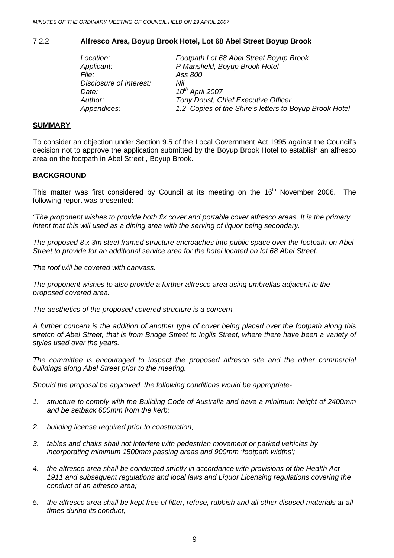#### <span id="page-8-0"></span>7.2.2 **Alfresco Area, Boyup Brook Hotel, Lot 68 Abel Street Boyup Brook**

| Footpath Lot 68 Abel Street Boyup Brook                |
|--------------------------------------------------------|
| P Mansfield, Boyup Brook Hotel                         |
| Ass 800                                                |
| Nil                                                    |
| 10 <sup>th</sup> April 2007                            |
| Tony Doust, Chief Executive Officer                    |
| 1.2 Copies of the Shire's letters to Boyup Brook Hotel |
|                                                        |

#### **SUMMARY**

To consider an objection under Section 9.5 of the Local Government Act 1995 against the Council's decision not to approve the application submitted by the Boyup Brook Hotel to establish an alfresco area on the footpath in Abel Street , Boyup Brook.

#### **BACKGROUND**

This matter was first considered by Council at its meeting on the  $16<sup>th</sup>$  November 2006. The following report was presented:-

*"The proponent wishes to provide both fix cover and portable cover alfresco areas. It is the primary intent that this will used as a dining area with the serving of liquor being secondary.* 

*The proposed 8 x 3m steel framed structure encroaches into public space over the footpath on Abel Street to provide for an additional service area for the hotel located on lot 68 Abel Street.* 

*The roof will be covered with canvass.* 

*The proponent wishes to also provide a further alfresco area using umbrellas adjacent to the proposed covered area.* 

*The aesthetics of the proposed covered structure is a concern.* 

*A further concern is the addition of another type of cover being placed over the footpath along this stretch of Abel Street, that is from Bridge Street to Inglis Street, where there have been a variety of styles used over the years.* 

*The committee is encouraged to inspect the proposed alfresco site and the other commercial buildings along Abel Street prior to the meeting.* 

*Should the proposal be approved, the following conditions would be appropriate-*

- *1. structure to comply with the Building Code of Australia and have a minimum height of 2400mm and be setback 600mm from the kerb;*
- *2. building license required prior to construction;*
- *3. tables and chairs shall not interfere with pedestrian movement or parked vehicles by incorporating minimum 1500mm passing areas and 900mm 'footpath widths';*
- *4. the alfresco area shall be conducted strictly in accordance with provisions of the Health Act 1911 and subsequent regulations and local laws and Liquor Licensing regulations covering the conduct of an alfresco area;*
- *5. the alfresco area shall be kept free of litter, refuse, rubbish and all other disused materials at all times during its conduct;*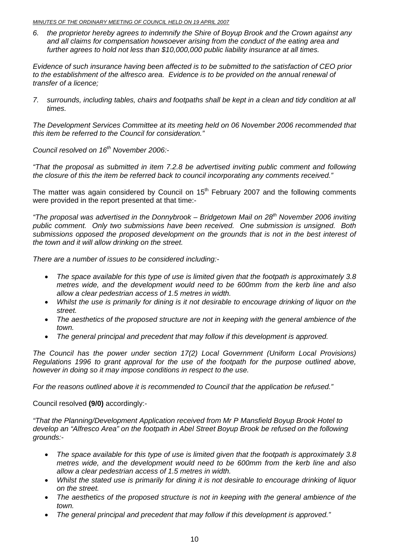*6. the proprietor hereby agrees to indemnify the Shire of Boyup Brook and the Crown against any and all claims for compensation howsoever arising from the conduct of the eating area and further agrees to hold not less than \$10,000,000 public liability insurance at all times.* 

*Evidence of such insurance having been affected is to be submitted to the satisfaction of CEO prior to the establishment of the alfresco area. Evidence is to be provided on the annual renewal of transfer of a licence;* 

*7. surrounds, including tables, chairs and footpaths shall be kept in a clean and tidy condition at all times.* 

*The Development Services Committee at its meeting held on 06 November 2006 recommended that this item be referred to the Council for consideration."* 

*Council resolved on 16th November 2006:-* 

*"That the proposal as submitted in item 7.2.8 be advertised inviting public comment and following the closure of this the item be referred back to council incorporating any comments received."* 

The matter was again considered by Council on  $15<sup>th</sup>$  February 2007 and the following comments were provided in the report presented at that time:-

*"The proposal was advertised in the Donnybrook – Bridgetown Mail on 28th November 2006 inviting public comment. Only two submissions have been received. One submission is unsigned. Both submissions opposed the proposed development on the grounds that is not in the best interest of the town and it will allow drinking on the street.* 

*There are a number of issues to be considered including:-* 

- *The space available for this type of use is limited given that the footpath is approximately 3.8 metres wide, and the development would need to be 600mm from the kerb line and also allow a clear pedestrian access of 1.5 metres in width.*
- *Whilst the use is primarily for dining is it not desirable to encourage drinking of liquor on the street.*
- *The aesthetics of the proposed structure are not in keeping with the general ambience of the town.*
- *The general principal and precedent that may follow if this development is approved.*

*The Council has the power under section 17(2) Local Government (Uniform Local Provisions) Regulations 1996 to grant approval for the use of the footpath for the purpose outlined above, however in doing so it may impose conditions in respect to the use.* 

*For the reasons outlined above it is recommended to Council that the application be refused."* 

Council resolved **(9/0)** accordingly:-

*"That the Planning/Development Application received from Mr P Mansfield Boyup Brook Hotel to develop an "Alfresco Area" on the footpath in Abel Street Boyup Brook be refused on the following grounds:-* 

- *The space available for this type of use is limited given that the footpath is approximately 3.8 metres wide, and the development would need to be 600mm from the kerb line and also allow a clear pedestrian access of 1.5 metres in width.*
- *Whilst the stated use is primarily for dining it is not desirable to encourage drinking of liquor on the street.*
- *The aesthetics of the proposed structure is not in keeping with the general ambience of the town.*
- *The general principal and precedent that may follow if this development is approved."*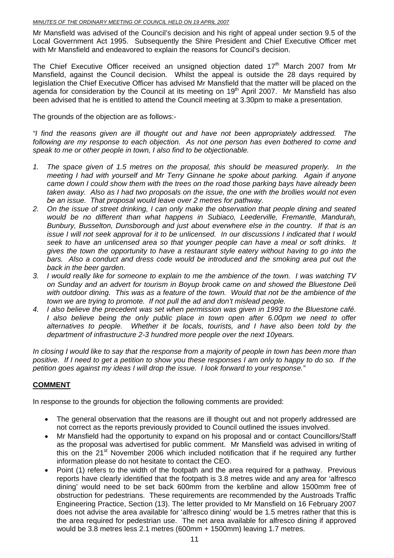Mr Mansfield was advised of the Council's decision and his right of appeal under section 9.5 of the Local Government Act 1995. Subsequently the Shire President and Chief Executive Officer met with Mr Mansfield and endeavored to explain the reasons for Council's decision.

The Chief Executive Officer received an unsigned objection dated 17<sup>th</sup> March 2007 from Mr Mansfield, against the Council decision. Whilst the appeal is outside the 28 days required by legislation the Chief Executive Officer has advised Mr Mansfield that the matter will be placed on the agenda for consideration by the Council at its meeting on  $19<sup>th</sup>$  April 2007. Mr Mansfield has also been advised that he is entitled to attend the Council meeting at 3.30pm to make a presentation.

The grounds of the objection are as follows:-

*"I find the reasons given are ill thought out and have not been appropriately addressed. The following are my response to each objection. As not one person has even bothered to come and speak to me or other people in town, I also find to be objectionable.* 

- *1. The space given of 1.5 metres on the proposal, this should be measured properly. In the meeting I had with yourself and Mr Terry Ginnane he spoke about parking. Again if anyone came down I could show them with the trees on the road those parking bays have already been taken away. Also as I had two proposals on the issue, the one with the brollies would not even be an issue. That proposal would leave over 2 metres for pathway.*
- *2. On the issue of street drinking, I can only make the observation that people dining and seated would be no different than what happens in Subiaco, Leederville, Fremantle, Mandurah, Bunbury, Busselton, Dunsborough and just about everwhere else in the country. If that is an issue I will not seek approval for it to be unlicensed. In our discussions I indicated that I would seek to have an unlicensed area so that younger people can have a meal or soft drinks. It gives the town the opportunity to have a restaurant style eatery without having to go into the*  bars. Also a conduct and dress code would be introduced and the smoking area put out the *back in the beer garden.*
- *3. I would really like for someone to explain to me the ambience of the town. I was watching TV on Sunday and an advert for tourism in Boyup brook came on and showed the Bluestone Deli with outdoor dining. This was as a feature of the town. Would that not be the ambience of the town we are trying to promote. If not pull the ad and don't mislead people.*
- *4. I also believe the precedent was set when permission was given in 1993 to the Bluestone café. I* also believe being the only public place in town open after 6.00pm we need to offer *alternatives to people. Whether it be locals, tourists, and I have also been told by the department of infrastructure 2-3 hundred more people over the next 10years.*

*In closing I would like to say that the response from a majority of people in town has been more than positive. If I need to get a petition to show you these responses I am only to happy to do so. If the petition goes against my ideas I will drop the issue. I look forward to your response."* 

### **COMMENT**

In response to the grounds for objection the following comments are provided:

- The general observation that the reasons are ill thought out and not properly addressed are not correct as the reports previously provided to Council outlined the issues involved.
- Mr Mansfield had the opportunity to expand on his proposal and or contact Councillors/Staff as the proposal was advertised for public comment. Mr Mansfield was advised in writing of this on the 21<sup>st</sup> November 2006 which included notification that if he required any further information please do not hesitate to contact the CEO.
- Point (1) refers to the width of the footpath and the area required for a pathway. Previous reports have clearly identified that the footpath is 3.8 metres wide and any area for 'alfresco dining' would need to be set back 600mm from the kerbline and allow 1500mm free of obstruction for pedestrians. These requirements are recommended by the Austroads Traffic Engineering Practice, Section (13). The letter provided to Mr Mansfield on 16 February 2007 does not advise the area available for 'alfresco dining' would be 1.5 metres rather that this is the area required for pedestrian use. The net area available for alfresco dining if approved would be 3.8 metres less 2.1 metres (600mm + 1500mm) leaving 1.7 metres.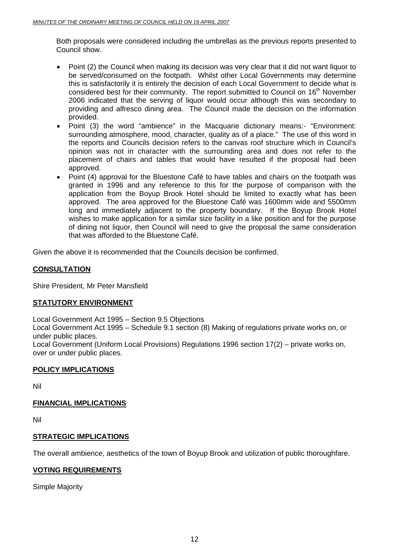Both proposals were considered including the umbrellas as the previous reports presented to Council show.

- Point (2) the Council when making its decision was very clear that it did not want liquor to be served/consumed on the footpath. Whilst other Local Governments may determine this is satisfactorily it is entirely the decision of each Local Government to decide what is considered best for their community. The report submitted to Council on 16<sup>th</sup> November 2006 indicated that the serving of liquor would occur although this was secondary to providing and alfresco dining area. The Council made the decision on the information provided.
- Point (3) the word "ambience" in the Macquarie dictionary means:- "Environment: surrounding atmosphere, mood, character, quality as of a place." The use of this word in the reports and Councils decision refers to the canvas roof structure which in Council's opinion was not in character with the surrounding area and does not refer to the placement of chairs and tables that would have resulted if the proposal had been approved.
- Point (4) approval for the Bluestone Café to have tables and chairs on the footpath was granted in 1996 and any reference to this for the purpose of comparison with the application from the Boyup Brook Hotel should be limited to exactly what has been approved. The area approved for the Bluestone Café was 1600mm wide and 5500mm long and immediately adjacent to the property boundary. If the Boyup Brook Hotel wishes to make application for a similar size facility in a like position and for the purpose of dining not liquor, then Council will need to give the proposal the same consideration that was afforded to the Bluestone Café.

Given the above it is recommended that the Councils decision be confirmed.

#### **CONSULTATION**

Shire President, Mr Peter Mansfield

#### **STATUTORY ENVIRONMENT**

Local Government Act 1995 – Section 9.5 Objections

Local Government Act 1995 – Schedule 9.1 section (8) Making of regulations private works on, or under public places.

Local Government (Uniform Local Provisions) Regulations 1996 section 17(2) – private works on, over or under public places.

#### **POLICY IMPLICATIONS**

Nil

#### **FINANCIAL IMPLICATIONS**

Nil

#### **STRATEGIC IMPLICATIONS**

The overall ambience, aesthetics of the town of Boyup Brook and utilization of public thoroughfare.

#### **VOTING REQUIREMENTS**

Simple Majority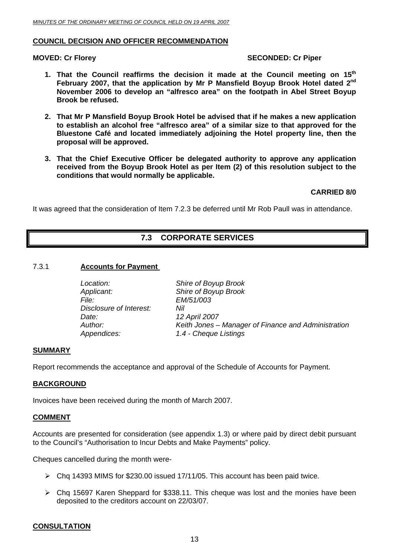#### <span id="page-12-0"></span>**COUNCIL DECISION AND OFFICER RECOMMENDATION**

#### **MOVED: Cr Florey SECONDED: Cr Piper and SECONDED: Cr Piper**

- **1. That the Council reaffirms the decision it made at the Council meeting on 15th February 2007, that the application by Mr P Mansfield Boyup Brook Hotel dated 2nd November 2006 to develop an "alfresco area" on the footpath in Abel Street Boyup Brook be refused.**
- **2. That Mr P Mansfield Boyup Brook Hotel be advised that if he makes a new application to establish an alcohol free "alfresco area" of a similar size to that approved for the Bluestone Café and located immediately adjoining the Hotel property line, then the proposal will be approved.**
- **3. That the Chief Executive Officer be delegated authority to approve any application received from the Boyup Brook Hotel as per Item (2) of this resolution subject to the conditions that would normally be applicable.**

#### **CARRIED 8/0**

It was agreed that the consideration of Item 7.2.3 be deferred until Mr Rob Paull was in attendance.

## **7.3 CORPORATE SERVICES**

#### 7.3.1 **Accounts for Payment**

*Location: Shire of Boyup Brook Applicant: Shire of Boyup Brook File: EM/51/003 Disclosure of Interest: Nil Date: 12 April 2007 Author: Keith Jones – Manager of Finance and Administration Appendices: 1.4 - Cheque Listings*

#### **SUMMARY**

Report recommends the acceptance and approval of the Schedule of Accounts for Payment.

#### **BACKGROUND**

Invoices have been received during the month of March 2007.

#### **COMMENT**

Accounts are presented for consideration (see appendix 1.3) or where paid by direct debit pursuant to the Council's "Authorisation to Incur Debts and Make Payments" policy.

Cheques cancelled during the month were-

- $\triangleright$  Chq 14393 MIMS for \$230.00 issued 17/11/05. This account has been paid twice.
- $\triangleright$  Chq 15697 Karen Sheppard for \$338.11. This cheque was lost and the monies have been deposited to the creditors account on 22/03/07.

#### **CONSULTATION**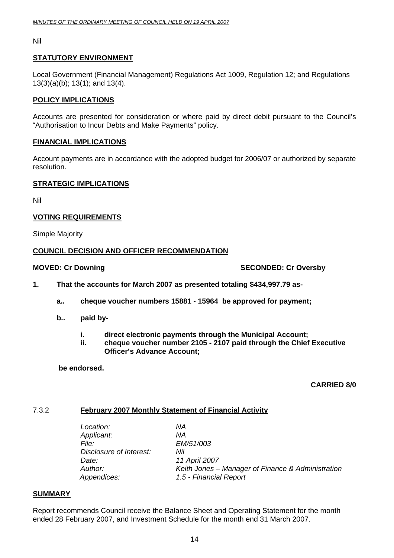<span id="page-13-0"></span>Nil

#### **STATUTORY ENVIRONMENT**

Local Government (Financial Management) Regulations Act 1009, Regulation 12; and Regulations 13(3)(a)(b); 13(1); and 13(4).

#### **POLICY IMPLICATIONS**

Accounts are presented for consideration or where paid by direct debit pursuant to the Council's "Authorisation to Incur Debts and Make Payments" policy.

#### **FINANCIAL IMPLICATIONS**

Account payments are in accordance with the adopted budget for 2006/07 or authorized by separate resolution.

#### **STRATEGIC IMPLICATIONS**

Nil

#### **VOTING REQUIREMENTS**

Simple Majority

#### **COUNCIL DECISION AND OFFICER RECOMMENDATION**

**MOVED: Cr Downing**  $\blacksquare$  **SECONDED: Cr Oversby** 

- **1. That the accounts for March 2007 as presented totaling \$434,997.79 as**
	- **a.. cheque voucher numbers 15881 15964 be approved for payment;**
	- **b.. paid by** 
		- **i. direct electronic payments through the Municipal Account;**
		- **ii. cheque voucher number 2105 2107 paid through the Chief Executive Officer's Advance Account;**

 **be endorsed.** 

#### **CARRIED 8/0**

#### 7.3.2 **February 2007 Monthly Statement of Financial Activity**

 *Location: NA Applicant: NA File: EM/51/003 Disclosure of Interest: Nil Date: 11 April 2007 Appendices: 1.5 - Financial Report* 

*Author: Keith Jones – Manager of Finance & Administration* 

#### **SUMMARY**

Report recommends Council receive the Balance Sheet and Operating Statement for the month ended 28 February 2007, and Investment Schedule for the month end 31 March 2007.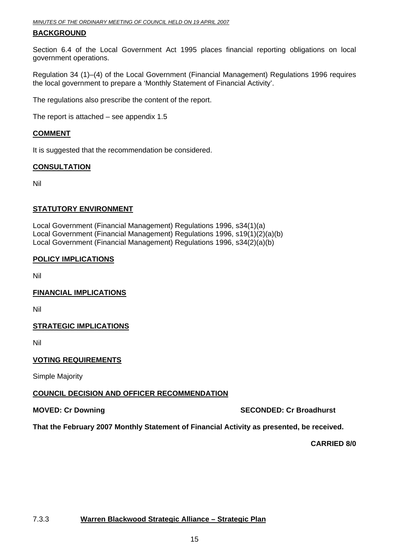#### <span id="page-14-0"></span>**BACKGROUND**

Section 6.4 of the Local Government Act 1995 places financial reporting obligations on local government operations.

Regulation 34 (1)–(4) of the Local Government (Financial Management) Regulations 1996 requires the local government to prepare a 'Monthly Statement of Financial Activity'.

The regulations also prescribe the content of the report.

The report is attached – see appendix 1.5

#### **COMMENT**

It is suggested that the recommendation be considered.

#### **CONSULTATION**

Nil

#### **STATUTORY ENVIRONMENT**

Local Government (Financial Management) Regulations 1996, s34(1)(a) Local Government (Financial Management) Regulations 1996, s19(1)(2)(a)(b) Local Government (Financial Management) Regulations 1996, s34(2)(a)(b)

#### **POLICY IMPLICATIONS**

Nil

#### **FINANCIAL IMPLICATIONS**

Nil

#### **STRATEGIC IMPLICATIONS**

Nil

#### **VOTING REQUIREMENTS**

Simple Majority

#### **COUNCIL DECISION AND OFFICER RECOMMENDATION**

**MOVED: Cr Downing Case Conduct 2008 SECONDED: Cr Broadhurst** 

**That the February 2007 Monthly Statement of Financial Activity as presented, be received.** 

**CARRIED 8/0** 

### 7.3.3 **Warren Blackwood Strategic Alliance – Strategic Plan**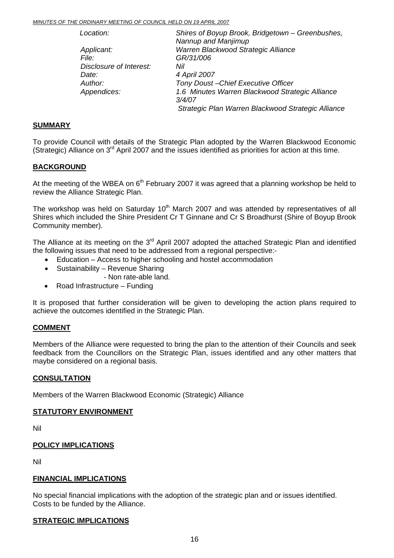| Location:               | Shires of Boyup Brook, Bridgetown - Greenbushes,<br>Nannup and Manjimup |
|-------------------------|-------------------------------------------------------------------------|
| Applicant:              | Warren Blackwood Strategic Alliance                                     |
| File:                   | GR/31/006                                                               |
| Disclosure of Interest: | Nil                                                                     |
| Date:                   | 4 April 2007                                                            |
| Author:                 | Tony Doust-Chief Executive Officer                                      |
| Appendices:             | 1.6 Minutes Warren Blackwood Strategic Alliance                         |
|                         | 3/4/07                                                                  |
|                         | Strategic Plan Warren Blackwood Strategic Alliance                      |

#### **SUMMARY**

To provide Council with details of the Strategic Plan adopted by the Warren Blackwood Economic (Strategic) Alliance on  $3<sup>rd</sup>$  April 2007 and the issues identified as priorities for action at this time.

#### **BACKGROUND**

At the meeting of the WBEA on  $6<sup>th</sup>$  February 2007 it was agreed that a planning workshop be held to review the Alliance Strategic Plan.

The workshop was held on Saturday  $10<sup>th</sup>$  March 2007 and was attended by representatives of all Shires which included the Shire President Cr T Ginnane and Cr S Broadhurst (Shire of Boyup Brook Community member).

The Alliance at its meeting on the 3<sup>rd</sup> April 2007 adopted the attached Strategic Plan and identified the following issues that need to be addressed from a regional perspective:-

- Education Access to higher schooling and hostel accommodation
- Sustainability Revenue Sharing
	- Non rate-able land.
- Road Infrastructure Funding

It is proposed that further consideration will be given to developing the action plans required to achieve the outcomes identified in the Strategic Plan.

#### **COMMENT**

Members of the Alliance were requested to bring the plan to the attention of their Councils and seek feedback from the Councillors on the Strategic Plan, issues identified and any other matters that maybe considered on a regional basis.

#### **CONSULTATION**

Members of the Warren Blackwood Economic (Strategic) Alliance

#### **STATUTORY ENVIRONMENT**

Nil

#### **POLICY IMPLICATIONS**

Nil

#### **FINANCIAL IMPLICATIONS**

No special financial implications with the adoption of the strategic plan and or issues identified. Costs to be funded by the Alliance.

#### **STRATEGIC IMPLICATIONS**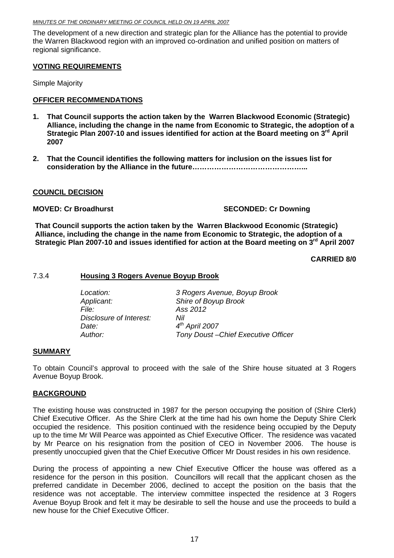<span id="page-16-0"></span>The development of a new direction and strategic plan for the Alliance has the potential to provide the Warren Blackwood region with an improved co-ordination and unified position on matters of regional significance.

#### **VOTING REQUIREMENTS**

Simple Majority

#### **OFFICER RECOMMENDATIONS**

- **1. That Council supports the action taken by the Warren Blackwood Economic (Strategic) Alliance, including the change in the name from Economic to Strategic, the adoption of a Strategic Plan 2007-10 and issues identified for action at the Board meeting on 3rd April 2007**
- **2. That the Council identifies the following matters for inclusion on the issues list for consideration by the Alliance in the future………………………………………...**

#### **COUNCIL DECISION**

#### **MOVED: Cr Broadhurst SECONDED: Cr Downing**

**That Council supports the action taken by the Warren Blackwood Economic (Strategic) Alliance, including the change in the name from Economic to Strategic, the adoption of a**  Strategic Plan 2007-10 and issues identified for action at the Board meeting on 3<sup>rd</sup> April 2007

#### **CARRIED 8/0**

#### 7.3.4 **Housing 3 Rogers Avenue Boyup Brook**

| Tony Doust-Chief Executive Officer |
|------------------------------------|
|                                    |

#### **SUMMARY**

To obtain Council's approval to proceed with the sale of the Shire house situated at 3 Rogers Avenue Boyup Brook.

#### **BACKGROUND**

The existing house was constructed in 1987 for the person occupying the position of (Shire Clerk) Chief Executive Officer. As the Shire Clerk at the time had his own home the Deputy Shire Clerk occupied the residence. This position continued with the residence being occupied by the Deputy up to the time Mr Will Pearce was appointed as Chief Executive Officer. The residence was vacated by Mr Pearce on his resignation from the position of CEO in November 2006. The house is presently unoccupied given that the Chief Executive Officer Mr Doust resides in his own residence.

During the process of appointing a new Chief Executive Officer the house was offered as a residence for the person in this position. Councillors will recall that the applicant chosen as the preferred candidate in December 2006, declined to accept the position on the basis that the residence was not acceptable. The interview committee inspected the residence at 3 Rogers Avenue Boyup Brook and felt it may be desirable to sell the house and use the proceeds to build a new house for the Chief Executive Officer.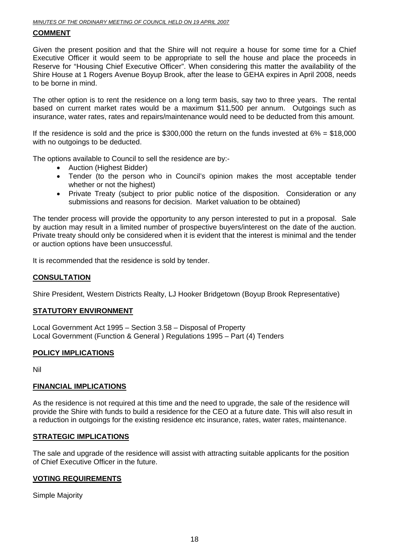#### **COMMENT**

Given the present position and that the Shire will not require a house for some time for a Chief Executive Officer it would seem to be appropriate to sell the house and place the proceeds in Reserve for "Housing Chief Executive Officer". When considering this matter the availability of the Shire House at 1 Rogers Avenue Boyup Brook, after the lease to GEHA expires in April 2008, needs to be borne in mind.

The other option is to rent the residence on a long term basis, say two to three years. The rental based on current market rates would be a maximum \$11,500 per annum. Outgoings such as insurance, water rates, rates and repairs/maintenance would need to be deducted from this amount.

If the residence is sold and the price is  $$300,000$  the return on the funds invested at  $6\% = $18,000$ with no outgoings to be deducted.

The options available to Council to sell the residence are by:-

- Auction (Highest Bidder)
- Tender (to the person who in Council's opinion makes the most acceptable tender whether or not the highest)
- Private Treaty (subject to prior public notice of the disposition. Consideration or any submissions and reasons for decision. Market valuation to be obtained)

The tender process will provide the opportunity to any person interested to put in a proposal. Sale by auction may result in a limited number of prospective buyers/interest on the date of the auction. Private treaty should only be considered when it is evident that the interest is minimal and the tender or auction options have been unsuccessful.

It is recommended that the residence is sold by tender.

#### **CONSULTATION**

Shire President, Western Districts Realty, LJ Hooker Bridgetown (Boyup Brook Representative)

#### **STATUTORY ENVIRONMENT**

Local Government Act 1995 – Section 3.58 – Disposal of Property Local Government (Function & General ) Regulations 1995 – Part (4) Tenders

#### **POLICY IMPLICATIONS**

Nil

#### **FINANCIAL IMPLICATIONS**

As the residence is not required at this time and the need to upgrade, the sale of the residence will provide the Shire with funds to build a residence for the CEO at a future date. This will also result in a reduction in outgoings for the existing residence etc insurance, rates, water rates, maintenance.

#### **STRATEGIC IMPLICATIONS**

The sale and upgrade of the residence will assist with attracting suitable applicants for the position of Chief Executive Officer in the future.

#### **VOTING REQUIREMENTS**

Simple Majority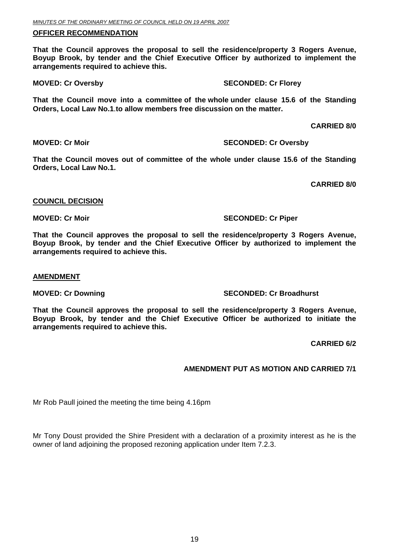#### **OFFICER RECOMMENDATION**

**That the Council approves the proposal to sell the residence/property 3 Rogers Avenue, Boyup Brook, by tender and the Chief Executive Officer by authorized to implement the arrangements required to achieve this.** 

**MOVED: Cr Oversby SECONDED: Cr Florey** 

**That the Council move into a committee of the whole under clause 15.6 of the Standing Orders, Local Law No.1**.**to allow members free discussion on the matter.** 

 **CARRIED 8/0** 

**MOVED: Cr Moir MOVED: Cr Oversby** 

**That the Council moves out of committee of the whole under clause 15.6 of the Standing Orders, Local Law No.1.** 

**CARRIED 8/0** 

#### **COUNCIL DECISION**

#### **MOVED: Cr Moir SECONDED: Cr Piper SECONDED: Cr Piper SECONDED: Cr Piper SECONDED: Cr Piper**

**That the Council approves the proposal to sell the residence/property 3 Rogers Avenue, Boyup Brook, by tender and the Chief Executive Officer by authorized to implement the arrangements required to achieve this.** 

#### **AMENDMENT**

#### **MOVED: Cr Downing Case Conduct 2018 SECONDED: Cr Broadhurst**

**That the Council approves the proposal to sell the residence/property 3 Rogers Avenue, Boyup Brook, by tender and the Chief Executive Officer be authorized to initiate the arrangements required to achieve this.** 

**CARRIED 6/2** 

#### **AMENDMENT PUT AS MOTION AND CARRIED 7/1**

Mr Rob Paull joined the meeting the time being 4.16pm

Mr Tony Doust provided the Shire President with a declaration of a proximity interest as he is the owner of land adjoining the proposed rezoning application under Item 7.2.3.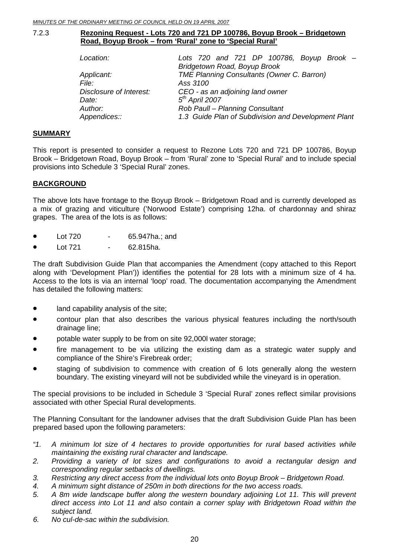#### <span id="page-19-0"></span>7.2.3 **Rezoning Request - Lots 720 and 721 DP 100786, Boyup Brook – Bridgetown Road, Boyup Brook – from 'Rural' zone to 'Special Rural'**

| Location:               | Lots 720 and 721 DP 100786, Boyup Brook $-$         |
|-------------------------|-----------------------------------------------------|
|                         | Bridgetown Road, Boyup Brook                        |
| Applicant:              | <b>TME Planning Consultants (Owner C. Barron)</b>   |
| File:                   | Ass 3100                                            |
| Disclosure of Interest: | CEO - as an adjoining land owner                    |
| Date:                   | $5th$ April 2007                                    |
| Author:                 | Rob Paull - Planning Consultant                     |
| Appendices::            | 1.3 Guide Plan of Subdivision and Development Plant |

#### **SUMMARY**

This report is presented to consider a request to Rezone Lots 720 and 721 DP 100786, Boyup Brook – Bridgetown Road, Boyup Brook – from 'Rural' zone to 'Special Rural' and to include special provisions into Schedule 3 'Special Rural' zones.

#### **BACKGROUND**

The above lots have frontage to the Boyup Brook – Bridgetown Road and is currently developed as a mix of grazing and viticulture ('Norwood Estate') comprising 12ha. of chardonnay and shiraz grapes. The area of the lots is as follows:

- Lot 720 65.947ha.; and
- Lot 721 62.815ha.

The draft Subdivision Guide Plan that accompanies the Amendment (copy attached to this Report along with 'Development Plan')) identifies the potential for 28 lots with a minimum size of 4 ha. Access to the lots is via an internal 'loop' road. The documentation accompanying the Amendment has detailed the following matters:

- land capability analysis of the site;
- contour plan that also describes the various physical features including the north/south drainage line;
- potable water supply to be from on site 92,000l water storage;
- fire management to be via utilizing the existing dam as a strategic water supply and compliance of the Shire's Firebreak order;
- staging of subdivision to commence with creation of 6 lots generally along the western boundary. The existing vineyard will not be subdivided while the vineyard is in operation.

The special provisions to be included in Schedule 3 'Special Rural' zones reflect similar provisions associated with other Special Rural developments.

The Planning Consultant for the landowner advises that the draft Subdivision Guide Plan has been prepared based upon the following parameters:

- *"1. A minimum lot size of 4 hectares to provide opportunities for rural based activities while maintaining the existing rural character and landscape.*
- 2. Providing a variety of lot sizes and configurations to avoid a rectangular design and *corresponding regular setbacks of dwellings.*
- *3. Restricting any direct access from the individual lots onto Boyup Brook Bridgetown Road.*
- *4. A minimum sight distance of 250m in both directions for the two access roads.*
- *5.*  direct access into Lot 11 and also contain a corner splay with Bridgetown Road within the *A 8m wide landscape buffer along the western boundary adjoining Lot 11. This will prevent subject land.*
- *6. No cul-de-sac within the subdivision.*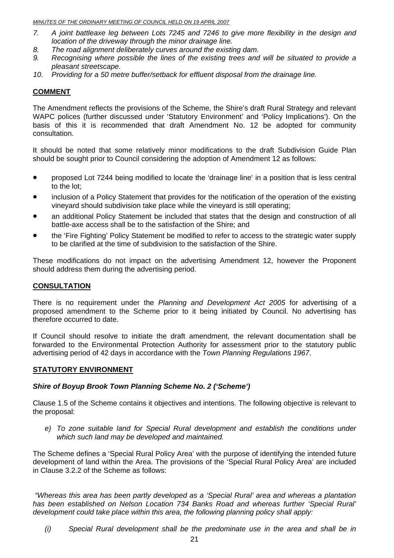- location of the driveway through the minor drainage line. *7. A joint battleaxe leg between Lots 7245 and 7246 to give more flexibility in the design and*
- *8. The road alignment deliberately curves around the existing dam.*
- *. Recognising where possible the lines of the existing trees and will be situated to provide a*   $p$ *leasant streetscape. 9*
- 10. Providing for a 50 metre buffer/setback for effluent disposal from the drainage line.

#### **COMMENT**

The Amendment reflects the provisions of the Scheme, the Shire's draft Rural Strategy and relevant WAPC polices (further discussed under 'Statutory Environment' and 'Policy Implications'). On the basis of this it is recommended that draft Amendment No. 12 be adopted for community consultation.

should be sought prior to Council considering the adoption of Amendment 12 as follows: It should be noted that some relatively minor modifications to the draft Subdivision Guide Plan

- proposed Lot 7244 being modified to locate the 'drainage line' in a position that is less central to the lot;
- inclusion of a Policy Statement that provides for the notification of the operation of the existing vineyard should subdivision take place while the vineyard is still operating;
- an additional Policy Statement be included that states that the design and construction of all battle-axe access shall be to the satisfaction of the Shire; and
- the 'Fire Fighting' Policy Statement be modified to refer to access to the strategic water supply to be clarified at the time of subdivision to the satisfaction of the Shire.

These modifications do not impact on the advertising Amendment 12, however the Proponent should address them during the advertising period.

#### **CONSULTATION**

There is no requirement under the *Planning and Development Act 2005* for advertising of a proposed amendment to the Scheme prior to it being initiated by Council. No advertising has therefore occurred to date.

If Council should resolve to initiate the draft amendment, the relevant documentation shall be forwarded to the Environmental Protection Authority for assessment prior to the statutory public advertising period of 42 days in accordance with the *Town Planning Regulations 1967*.

#### **STATUTORY ENVIRONMENT**

#### *Shire of Boyup Brook Town Planning Scheme No. 2 ('Scheme')*

Clause 1.5 of the Scheme contains it objectives and intentions. The following objective is relevant to the proposal:

which such land may be developed and maintained. *e) To zone suitable land for Special Rural development and establish the conditions under* 

The Scheme defines a 'Special Rural Policy Area' with the purpose of identifying the intended future development of land within the Area. The provisions of the 'Special Rural Policy Area' are included in Clause 3.2.2 of the Scheme as follows:

"Whereas this area has been partly developed as a 'Special Rural' area and whereas a plantation has been established on Nelson Location 734 Banks Road and whereas further 'Special Rural' development could take place within this area, the following planning policy shall apply:

*(i) Special Rural development shall be the predominate use in the area and shall be in*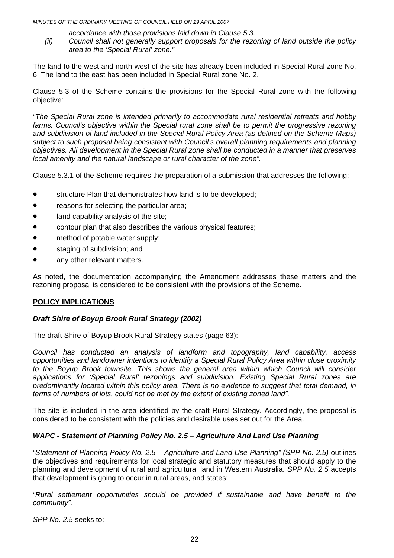- *accordance with those provisions laid down in Clause 5.3.*
- *(ii)* Council shall not generally support proposals for the rezoning of land outside the policy *area to the 'Special Rural' zone."*

The land to the west and north-west of the site has already been included in Special Rural zone No. . The land to the east has been included in Special Rural zone No. 2. 6

Clause 5.3 of the Scheme contains the provisions for the Special Rural zone with the following objective:

farms. Council's objective within the Special rural zone shall be to permit the progressive rezoning and subdivision of land included in the Special Rural Policy Area (as defined on the Scheme Maps) *bjectives. All development in the Special Rural zone shall be conducted in a manner that preserves o "The Special Rural zone is intended primarily to accommodate rural residential retreats and hobby subject to such proposal being consistent with Council's overall planning requirements and planning local amenity and the natural landscape or rural character of the zone".* 

Clause 5.3.1 of the Scheme requires the preparation of a submission that addresses the following:

- structure Plan that demonstrates how land is to be developed;
- reasons for selecting the particular area;
- land capability analysis of the site;
- contour plan that also describes the various physical features;
- method of potable water supply:
- staging of subdivision; and
- any other relevant matters.

As noted, the documentation accompanying the Amendment addresses these matters and the rezoning proposal is considered to be consistent with the provisions of the Scheme.

#### **POLICY IMPLICATIONS**

#### *Draft Shire of Boyup Brook Rural Strategy (2002)*

The draft Shire of Boyup Brook Rural Strategy states (page 63):

*Council has conducted an analysis of landform and topography, land capability, access opportunities and landowner intentions to identify a Special Rural Policy Area within close proximity to the Boyup Brook townsite. This shows the general area within which Council will consider applications for 'Special Rural' rezonings and subdivision. Existing Special Rural zones are*  predominantly located within this policy area. There is no evidence to suggest that total demand, in *terms of numbers of lots, could not be met by the extent of existing zoned land".* 

The site is included in the area identified by the draft Rural Strategy. Accordingly, the proposal is considered to be consistent with the policies and desirable uses set out for the Area.

#### WAPC - Statement of Planning Policy No. 2.5 - Agriculture And Land Use Planning

the objectives and requirements for local strategic and statutory measures that should apply to the planning and development of rural and agricultural land in Western Australia. *SPP No. 2.5* accepts that development is going to occur in rural areas, and states: *"Statement of Planning Policy No. 2.5 – Agriculture and Land Use Planning" (SPP No. 2.5)* outlines

*"Rural settlement opportunities should be provided if sustainable and have benefit to the community".* 

*SPP No. 2.5* seeks to: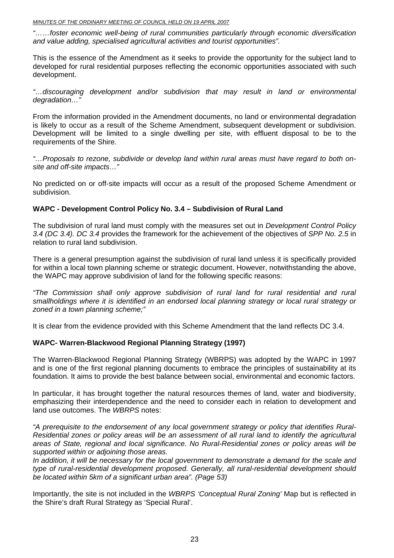*…foster economic well-being of rural communities particularly through economic diversification "… and value adding, specialised agricultural activities and tourist opportunities".* 

This is the essence of the Amendment as it seeks to provide the opportunity for the subject land to developed for rural residential purposes reflecting the economic opportunities associated with such development.

"...discouraging development and/or subdivision that may result in land or environmental *gradation…" de*

From the information provided in the Amendment documents, no land or environmental degradation is likely to occur as a result of the Scheme Amendment, subsequent development or subdivision. requirements of the Shire. Development will be limited to a single dwelling per site, with effluent disposal to be to the

*e regard to both on-"…Proposals to rezone, subdivide or develop land within rural areas must hav* site and off-site impacts..."

No predicted on or off-site impacts will occur as a result of the proposed Scheme Amendment or subdivision.

#### **WAPC - Development Control Policy No. 3.4 – Subdivision of Rural Land**

The subdivision of rural land must comply with the measures set out in *Development Control Policy .4 (DC 3.4). DC 3.4* provides the framework for the achievement of the objectives of *SPP No. 2.5* in *3* relation to rural land subdivision.

There is a general presumption against the subdivision of rural land unless it is specifically provided for within a local town planning scheme or strategic document. However, notwithstanding the above, the WAPC may approve subdivision of land for the following specific reasons:

"The Commission shall only approve subdivision of rural land for rural residential and rural smallholdings where it is identified in an endorsed local planning strategy or local rural strategy or *zoned in a town planning scheme;"* 

It is clear from the evidence provided with this Scheme Amendment that the land reflects DC 3.4.

#### **WAPC- Warren-Blackwood Regional Planning Strategy (1997)**

The Warren-Blackwood Regional Planning Strategy (WBRPS) was adopted by the WAPC in 1997 and is one of the first regional planning documents to embrace the principles of sustainability at its foundation. It aims to provide the best balance between social, environmental and economic factors.

emphasizing their interdependence and the need to consider each in relation to development and In particular, it has brought together the natural resources themes of land, water and biodiversity, land use outcomes. The *WBRPS* notes:

"A prerequisite to the endorsement of any local government strategy or policy that identifies Rural-Residential zones or policy areas will be an assessment of all rural land to identify the agricultural *areas of State, regional and local significance. No Rural-Residential zones or policy areas will be supported within or adjoining those areas.* 

In addition, it will be necessary for the local government to demonstrate a demand for the scale and type of rural-residential development proposed. Generally, all rural-residential development should be located within 5km of a significant urban area". (Page 53)

Importantly, the site is not included in the *WBRPS 'Conceptual Rural Zoning'* Map but is reflected in the Shire's draft Rural Strategy as 'Special Rural'.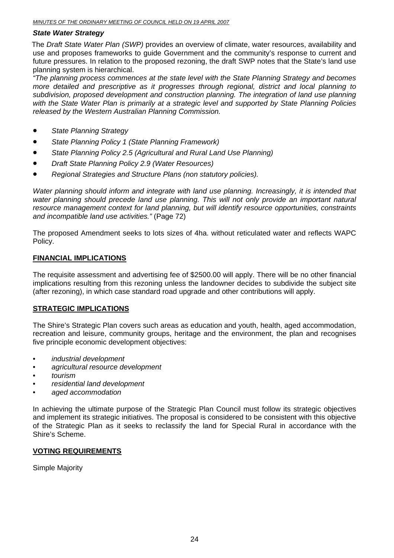#### *State Water Strategy*

The *Draft State Water Plan (SWP)* provides an overview of climate, water resources, availability and use and proposes frameworks to guide Government and the community's response to current and future pressures. In relation to the proposed rezoning, the draft SWP notes that the State's land use planning system is hierarchical.

*"The planning process commences at the state level with the State Planning Strategy and becomes more detailed and prescriptive as it progresses through regional, district and local planning to* subdivision, proposed development and construction planning. The integration of land use planning with the State Water Plan is primarily at a strategic level and supported by State Planning Policies *. released by the Western Australian Planning Commission*

- *State Planning Strategy*
- *State Planning Policy 1 (State Planning Framework)*
- *State Planning Policy 2.5 (Agricultural and Rural Land Use Planning)*
- **•** *Draft State Planning Policy 2.9 (Water Resources)*
- *Regional Strategies and Structure Plans (non statutory policies).*

Water planning should inform and integrate with land use planning. Increasingly, it is intended that water planning should precede land use planning. This will not only provide an important natural resource management context for land planning, but will identify resource opportunities, constraints *and incompatible land use activities."* (Page 72)

The proposed Amendment seeks to lots sizes of 4ha. without reticulated water and reflects WAPC Policy.

#### **FINANCIAL IMPLICATIONS**

The requisite assessment and advertising fee of \$2500.00 will apply. There will be no other financial implications resulting from this rezoning unless the landowner decides to subdivide the subject site (after rezoning), in which case standard road upgrade and other contributions will apply.

#### **STRATEGIC IMPLICATIONS**

The Shire's Strategic Plan covers such areas as education and youth, health, aged accommodation, recreation and leisure, community groups, heritage and the environment, the plan and recognises five principle economic development objectives:

- *industrial development*
- *agricultural resource development*
- *tourism*
- **•** *residential land development*
- *aged accommodation*

In achieving the ultimate purpose of the Strategic Plan Council must follow its strategic objectives and implement its strategic initiatives. The proposal is considered to be consistent with this objective of the Strategic Plan as it seeks to reclassify the land for Special Rural in accordance with the Shire's Scheme.

#### <u>**VOTING REQUIREMENTS</u>**</u>

Simple Majority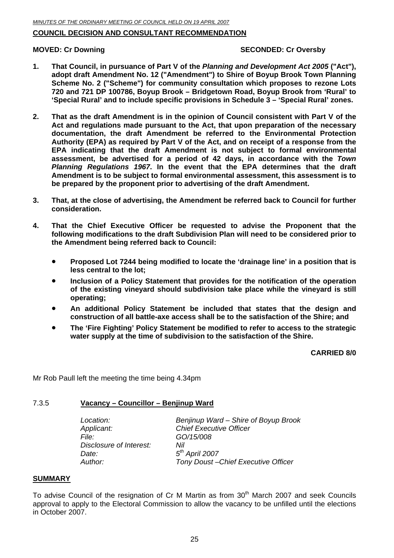#### <span id="page-24-0"></span>**COUNCIL DECISION AND CONSULTANT RECOMMENDATION**

#### **MOVED: Cr Downing**

#### **SECONDED: Cr Oversby**

- **1. That Council, in pursuance of Part V of the** *Planning and Development Act 2005* **("Act"), adopt draft Amendment No. 12 ("Amendment") to Shire of Boyup Brook Town Planning Scheme No. 2 ("Scheme") for community consultation which proposes to rezone Lots 720 and 721 DP 100786, Boyup Brook – Bridgetown Road, Boyup Brook from 'Rural' to 'Special Rural' and to include specific provisions in Schedule 3 – 'Special Rural' zones.**
- **2.**  Act and regulations made pursuant to the Act, that upon preparation of the necessary **documentation, the draft Amendment be referred to the Environmental Protection**  EPA indicating that the draft Amendment is not subject to formal environmental **assessment, be advertised for a period of 42 days, in accordance with the** *Town*  be prepared by the proponent prior to advertising of the draft Amendment. **That as the draft Amendment is in the opinion of Council consistent with Part V of the Authority (EPA) as required by Part V of the Act, and on receipt of a response from the**  *Planning Regulations 1967***. In the event that the EPA determines that the draft Amendment is to be subject to formal environmental assessment, this assessment is to**
- **3. cons ideration. That, at the close of advertising, the Amendment be referred back to Council for further**
- **4. That the Chief Executive Officer be requested to advise the Proponent that the**  following modifications to the draft Subdivision Plan will need to be considered prior to **the Amendment being referred back to Council:** 
	- **Proposed Lot 7244 being modified to locate the 'drainage line' in a position that is less central to the lot;**
	- **Inclusion of a Policy Statement that provides for the notification of the operation** of the existing vineyard should subdivision take place while the vineyard is still **operating;**
	- **An additional Policy Statement be included that states that the design and** construction of all battle-axe access shall be to the satisfaction of the Shire; and
	- **The 'Fire Fighting' Policy Statement be modified to refer to access to the strategic**  water supply at the time of subdivision to the satisfaction of the Shire.

**CARRIED 8/0** 

Mr Rob Paull left the meeting the time being 4.34pm

#### 7.3.5 **acancy – Councillor – Benjinup Ward V**

| Location:               | Benjinup Ward – Shire of Boyup Brook |
|-------------------------|--------------------------------------|
| Applicant:              | <b>Chief Executive Officer</b>       |
| File:                   | GO/15/008                            |
| Disclosure of Interest: | Nil                                  |
| Date:                   | $5th$ April 2007                     |
| Author:                 | Tony Doust-Chief Executive Officer   |

#### **SUMMARY**

To advise Council of the resignation of Cr M Martin as from  $30<sup>th</sup>$  March 2007 and seek Councils approval to apply to the Electoral Commission to allow the vacancy to be unfilled until the elections in October 2007.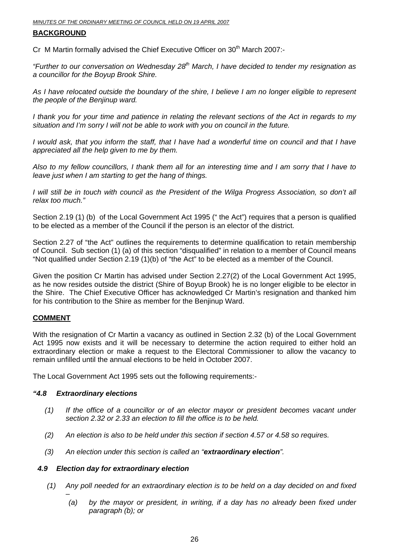#### **BACKGROUND**

Cr M Martin formally advised the Chief Executive Officer on 30<sup>th</sup> March 2007:-

"Further to our conversation on Wednesday 28<sup>th</sup> March, I have decided to tender my resignation as  *councillor for the Boyup Brook Shire. a*

As I have relocated outside the boundary of the shire, I believe I am no longer eligible to represent *e people of the Benjinup ward. th*

*I* thank you for your time and patience in relating the relevant sections of the Act in regards to my situation and I'm sorry I will not be able to work with you on council in the future.

*I* would ask, that you inform the staff, that I have had a wonderful time on council and that I have appreciated all the help given to me by them.

Also to my fellow councillors, I thank them all for an interesting time and I am sorry that I have to leave just when I am starting to get the hang of things.

*I will still be in touch with council as the President of the Wilga Progress Association, so don't all relax too much."* 

Section 2.19 (1) (b) of the Local Government Act 1995 (" the Act") requires that a person is qualified to be elected as a member of the Council if the person is an elector of the district.

Section 2.27 of "the Act" outlines the requirements to determine qualification to retain membership of Council. Sub section (1) (a) of this section "disqualified" in relation to a member of Council means "Not qualified under Section 2.19 (1)(b) of "the Act" to be elected as a member of the Council.

Given the position Cr Martin has advised under Section 2.27(2) of the Local Government Act 1995, as he now resides outside the district (Shire of Boyup Brook) he is no longer eligible to be elector in the Shire. The Chief Executive Officer has acknowledged Cr Martin's resignation and thanked him for his contribution to the Shire as member for the Benjinup Ward.

#### **COMMENT**

With the resignation of Cr Martin a vacancy as outlined in Section 2.32 (b) of the Local Government Act 1995 now exists and it will be necessary to determine the action required to either hold an extraordinary election or make a request to the Electoral Commissioner to allow the vacancy to remain un filled until the annual elections to be held in October 2007.

The Local Government Act 1995 sets out the following requirements:-

#### *"4. x 8 E traordinary elections*

- (1) If the office of a councillor or of an elector mayor or president becomes vacant under *section 2.32 or 2.33 an election to fill the office is to be held.*
- *(2)* An election is also to be held under this section if section 4.57 or 4.58 so requires.
- (3) An election under this section is called an "extraordinary election".

#### 4.9 Election day for extraordinary election

- *(1) Any poll needed for an extraordinary election is to be held on a day decided on and fixed* 
	- *– (a) by the mayor or president, in writing, if a day has no already been fixed under paragraph (b); or*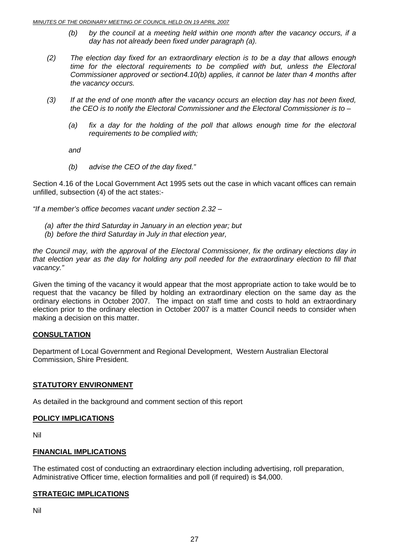- *(b) by the council at a meeting held within one month after the vacancy occurs, if a day has not already been fixed under paragraph (a).*
- *(2)*  time for the electoral requirements to be complied with but, unless the Electoral *mmissioner approved or section4.10(b) applies, it cannot be later than 4 months after Co* the vacancy occurs. *The election day fixed for an extraordinary election is to be a day that allows enough*
- (3) If at the end of one month after the vacancy occurs an election day has not been fixed, *the CEO is to notify the Electoral Commissioner and the Electoral Commissioner is to –* 
	- (a) fix a day for the holding of the poll that allows enough time for the electoral *requirements to be complied with;*

*and* 

*(b) advise the CEO of the day fixed."* 

Section 4.16 of the Local Government Act 1995 sets out the case in which vacant offices can remain unfilled, subsection (4) of the act states:-

*f a member's office becomes vacant under section 2.32 – "I*

- *(a) after the third Saturday in January in an election year; but*
- *(b) before the third Saturday in July in that election year,*

the Council may, with the approval of the Electoral Commissioner, fix the ordinary elections day in that election year as the day for holding any poll needed for the extraordinary election to fill that *vacancy."* 

Given the timing of the vacancy it would appear that the most appropriate action to take would be to request that the vacancy be filled by holding an extraordinary election on the same day as the ordinary elections in October 2007. The impact on staff time and costs to hold an extraordinary election prior to the ordinary election in October 2007 is a matter Council needs to consider when making a decision on this matter.

#### **CONSULTATION**

Department of Local Government and Regional Development, Western Australian Electoral Commission, Shire President.

#### **STATUTORY ENVIRONMENT**

As detailed in the background and comment section of this report

#### **POLICY IMPLICATIONS**

Nil

#### **FINANCIAL IMPLICATIONS**

he estimated cost of conducting an extraordinary election including advertising, roll preparation, T Administrative Officer time, election formalities and poll (if required) is \$4,000.

#### **<u>STRATEGIC IMPLICATIONS</u>**

Nil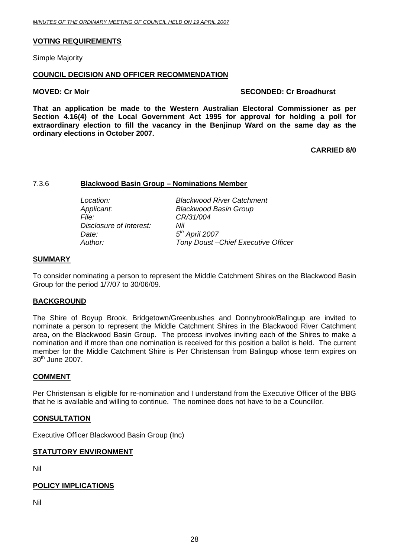#### <span id="page-27-0"></span>**VOTING REQUIREMENTS**

Simple Majority

#### **COUNCIL DECISION AND OFFICER RECOMMENDATION**

#### **MOVED: Cr Moir**

#### **SECONDED: Cr Broadhurst**

**hat an application be made to the Western Australian Electoral Commissioner as per T** Section 4.16(4) of the Local Government Act 1995 for approval for holding a poll for **xtraordinary election to fill the vacancy in the Benjinup Ward on the same day as the e ordinary elections in October 2007.** 

**CARRIED 8/0** 

#### 7.3.6 **lackwood Basin Group – Nominations Member B**

| <b>Blackwood River Catchment</b>   |
|------------------------------------|
| <b>Blackwood Basin Group</b>       |
| CR/31/004                          |
| Nil                                |
| $5th$ April 2007                   |
| Tony Doust-Chief Executive Officer |
|                                    |

#### **SUMMARY**

To consider nominating a person to represent the Middle Catchment Shires on the Blackwood Basin Group for the period 1/7/07 to 30/06/09.

#### **BACKGROUND**

The Shire of Boyup Brook, Bridgetown/Greenbushes and Donnybrook/Balingup are invited to area, on the Blackwood Basin Group. The process involves inviting each of the Shires to make a nomination and if more than one nomination is received for this position a ballot is held. The current member for the Middle Catchment Shire is Per Christensan from Balingup whose term expires on 30<sup>th</sup> June 2007. nominate a person to represent the Middle Catchment Shires in the Blackwood River Catchment

#### **OMMENT C**

Per Christensan is eligible for re-nomination and I understand from the Executive Officer of the BBG that he is available and willing to continue. The nominee does not have to be a Councillor.

#### **CONSULTATION**

Executive Officer Blackwood Basin Group (Inc)

#### **STATUTORY ENVIRONMENT**

Nil

#### **POLICY IMPLICATIONS**

Nil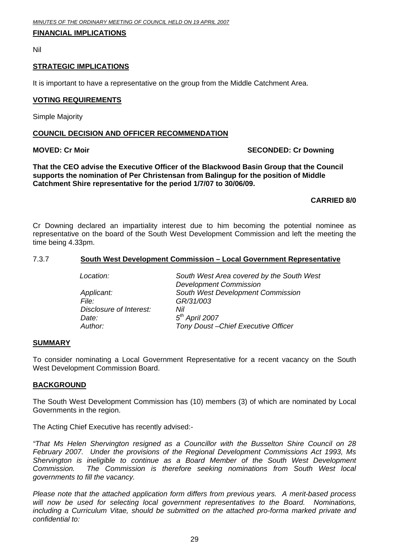#### <span id="page-28-0"></span>**FINANCIAL IMPLICATIONS**

Nil

#### **STRATEGIC IMPLICATIONS**

It is important to have a representative on the group from the Middle Catchment Area.

#### **VOTING REQUIREMENTS**

Simple Majority

#### **COUNCIL DECISION AND OFFICER RECOMMENDATION**

#### **MOVED**: Cr Moir

#### **SECONDED: Cr Downing**

supports the nomination of Per Christensan from Balingup for the position of Middle Catchment Shire representative for the period 1/7/07 to 30/06/09. **That the CEO advise the Executive Officer of the Blackwood Basin Group that the Council** 

#### **CARRIED 8/0**

Cr Downing declared an impartiality interest due to him becoming the potential nominee as representative on the board of the South West Development Commission and left the meeting the time being 4.3 3pm.

#### 7.3.7 **South West Development Commission – Local Government Representative**

| South West Area covered by the South West<br><b>Development Commission</b> |  |
|----------------------------------------------------------------------------|--|
| South West Development Commission                                          |  |
| GR/31/003                                                                  |  |
| Nil                                                                        |  |
| $5th$ April 2007                                                           |  |
| Tony Doust-Chief Executive Officer                                         |  |
|                                                                            |  |

#### **SUMMARY**

To consider nominating a Local Government Representative for a recent vacancy on the South West Development Commission Board.

#### **BACKGROUND**

The South West Development Commission has (10) members (3) of which are nominated by Local Governments in the region.

The Acting Chief Executive has recently advised:-

*"That Ms Helen Shervington resigned as a Councillor with the Busselton Shire Council on 28 February 2007. Under the provisions of the Regional Development Commissions Act 1993, Ms*  Shervington is ineligible to continue as a Board Member of the South West Development *ommission. The Commission is therefore seeking nominations from South West local overnments to fill the vacancy. g* Commission.

*Please note that the attached application form differs from previous years. A merit-based process* will now be used for selecting local government representatives to the Board. Nominations, including a Curriculum Vitae, should be submitted on the attached pro-forma marked private and *onfidential to: c*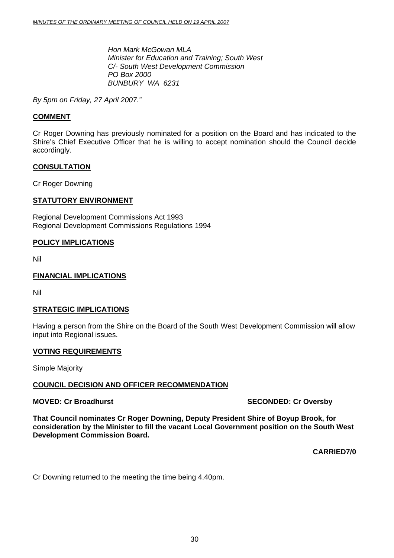*Hon Mark McGowan MLA Minister for Education and Training; South West BUNBURY WA 6231 C/- South West Development Commission PO Box 2000* 

<span id="page-29-0"></span>*27 April 2007." By 5pm on Friday,* 

#### **COMMENT**

Cr Roger Downing has previously nominated for a position on the Board and has indicated to the Shire's Chief Executive Officer that he is willing to accept nomination should the Council decide accordingly.

#### **CONSULTATION**

Cr Roger Downing

#### **TATUTORY ENVIRONMENT S**

Regional Development Commissions Act 1993 Regional Development Commissions Regulations 1994

#### **POLICY IMPLICATIONS**

Nil

#### **FINANCIAL IMPLICATIONS**

Nil

#### **TRATEGIC IMPLICATIONS S**

Having a person from the Shire on the Board of the South West Development Commission will allow input into Regional issues.

#### **VOTING REQUIREMENTS**

Simple Majority

#### **COUNCIL DECISION AND OFFICER RECOMMENDATION**

#### **MOVED: Cr Broadhurst**

**SECONDED: Cr Oversby** 

**hat Council nominates Cr Roger Downing, Deputy President Shire of Boyup Brook, for T onsideration by the Minister to fill the vacant Local Government position on the South West c Development Commission Board.** 

**CARRIED7/0** 

Cr Downing returned to the meeting the time being 4.40pm.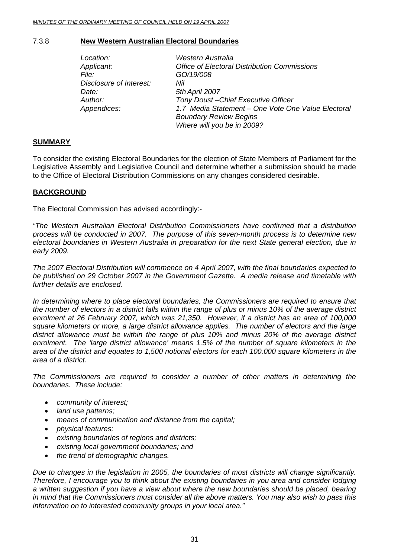#### 7.3.8 **New Western Australian Electoral Boundaries**

| Location:               | Western Australia                                   |
|-------------------------|-----------------------------------------------------|
| Applicant:              | <b>Office of Electoral Distribution Commissions</b> |
| File: I                 | GO/19/008                                           |
| Disclosure of Interest: | Nil                                                 |
| Date:                   | 5th April 2007                                      |
| Author:                 | Tony Doust-Chief Executive Officer                  |
| Appendices:             | 1.7 Media Statement - One Vote One Value Electoral  |
|                         | <b>Boundary Review Begins</b>                       |
|                         | Where will you be in 2009?                          |

#### **SUMMARY**

To consider the existing Electoral Boundaries for the election of State Members of Parliament for the Legislative Assembly and Legislative Council and determine whether a submission should be made to the Office of Electoral Distribution Commissions on any changes considered desirable.

#### **BACKGROUND**

The Electoral Commission has advised accordingly:-

*he Western Australian Electoral Distribution Commissioners have confirmed that a distribution "T process will be conducted in 2007. The purpose of this seven-month process is to determine new electoral boundaries in Western Australia in preparation for the next State general election, due in early 2009.* 

*The 2007 Electoral Distribution will commence on 4 April 2007, with the final boundaries expected to be published on 29 October 2007 in the Government Gazette. A media release and timetable with further details are enclosed.* 

In determining where to place electoral boundaries, the Commissioners are required to ensure that *07, which was 21,350. However, if a district has an area of 100,000 enrolment at 26 February 20* square kilometers or more, a large district allowance applies. The number of electors and the large district allowance must be within the range of plus 10% and minus 20% of the average district enrolment. The 'large district allowance' means 1.5% of the number of square kilometers in the area of the district and equates to 1,500 notional electors for each 100.000 square kilometers in the *area of a district. the number of electors in a district falls within the range of plus or minus 10% of the average district* 

The Commissioners are required to consider a number of other matters in determining the *bou a nd ries. These include:* 

- *community of interest;*
- *land use patterns;*
- *means of communication and distance from the capital;*
- *physical features;*
- *existing boundaries of regions and districts;*
- *existing local government boundaries; and*
- *the trend of demographic changes.*

Due to changes in the legislation in 2005, the boundaries of most districts will change significantly. *Therefore, I encourage you to think about the existing boundaries in you area and consider lodging* a written suggestion if you have a view about where the new boundaries should be placed, bearing *in mind that the Commissioners must consider all the above matters. You may also wish to pass this information on to interested community groups in your local area."*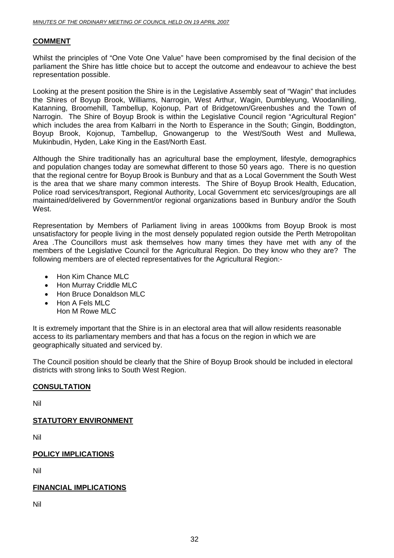#### **COMMENT**

Whilst the principles of "One Vote One Value" have been compromised by the final decision of the parliament the Shire has little choice but to accept the outcome and endeavour to achieve the best representation possible.

Looking at the present position the Shire is in the Legislative Assembly seat of "Wagin" that includes the Shires of Boyup Brook, Williams, Narrogin, West Arthur, Wagin, Dumbleyung, Woodanilling, Katanning, Broomehill, Tambellup, Kojonup, Part of Bridgetown/Greenbushes and the Town of Narrogin. The Shire of Boyup Brook is within the Legislative Council region "Agricultural Region" which includes the area from Kalbarri in the North to Esperance in the South; Gingin, Boddington, Boyup Brook, Kojonup, Tambellup, Gnowangerup to the West/South West and Mullewa, Mukinbudin, Hyden, Lake King in the East/North East.

Although the Shire traditionally has an agricultural base the employment, lifestyle, demographics maintained/delivered by Government/or regional organizations based in Bunbury and/or the South West. and population changes today are somewhat different to those 50 years ago. There is no question that the regional centre for Boyup Brook is Bunbury and that as a Local Government the South West is the area that we share many common interests. The Shire of Boyup Brook Health, Education, Police road services/transport, Regional Authority, Local Government etc services/groupings are all

Representation by Members of Parliament living in areas 1000kms from Boyup Brook is most unsatisfactory for people living in the most densely populated region outside the Perth Metropolitan Area . The Councillors must ask themselves how many times they have met with any of the members of the Legislative Council for the Agricultural Region. Do they know who they are? The following members are of elected representatives for the Agricultural Region:-

- Hon Kim Chance MLC
- Hon Murray Criddle MLC
- Hon Bruce Donaldson MLC
- Hon A Fels MLC Hon M Rowe MLC

It is extremely important that the Shire is in an electoral area that will allow residents reasonable access to its parliamentary members and that has a focus on the region in which we are geographically situated and serviced by.

The Council position should be clearly that the Shire of Boyup Brook should be included in electoral districts with strong links to South West Region.

#### **CONSULTATION**

Nil

#### **STATUTORY ENVIRONMENT**

Nil

#### **POLICY IMPLICATIONS**

Nil

#### **FINANCIAL IMPLICATIONS**

Nil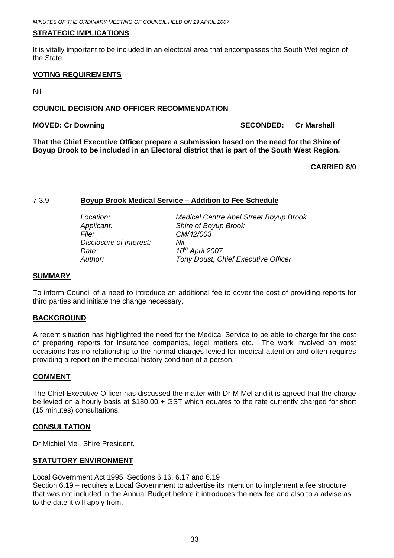#### <span id="page-32-0"></span>**STRATEGIC IMPLICATIONS**

It is vitally important to be included in an electoral area that encompasses the South Wet region of the State.

#### <u>**VOTING REQUIREMENTS</u>**</u>

Nil

#### **COUNCIL DECISION AND OFFICER RECOMMENDATION**

**MOVED: Cr Downing Construction Construction Cr Marshall SECONDED: Cr Marshall** 

That the Chief Executive Officer prepare a submission based on the need for the Shire of Boyup Brook to be included in an Electoral district that is part of the South West Region.

#### **CARRIED 8/0**

#### 7.3.9 **Boyup Brook Medical Service – Addition to Fee Schedule**

*Applicant: Shire of Boyup Brook Date:*  $10^{th}$  April 2007 *File: CM/42/003 Disclosure of Interest: Nil Au*

 *Location: Medical Centre Abel Street Boyup Brook thor: Tony Doust, Chief Executive Officer* 

#### **SUMMARY**

To inform Council of a need to introduce an additional fee to cover the cost of providing reports for third parties and initiate the change necessary.

#### **BACKGROUND**

occasions has no relationship to the normal charges levied for medical attention and often requires providing a report on the medical history condition of a person. A recent situation has highlighted the need for the Medical Service to be able to charge for the cost of preparing reports for Insurance companies, legal matters etc. The work involved on most

#### **OMMENT C**

The Chief Executive Officer has discussed the matter with Dr M Mel and it is agreed that the charge be levied on a hourly basis at  $$180.00 + GST$  which equates to the rate currently charged for short (15 minutes) consultations.

#### **CONSULTATION**

Dr Michiel Mel, Shire President.

#### **STATUTORY ENVIRONMENT**

Local Government Act 1995 Sections 6.16, 6.17 and 6.19

Section 6.19 – requires a Local Government to advertise its intention to implement a fee structure that was not included in the Annual Budget before it introduces the new fee and also to a advise as to the date it will apply from.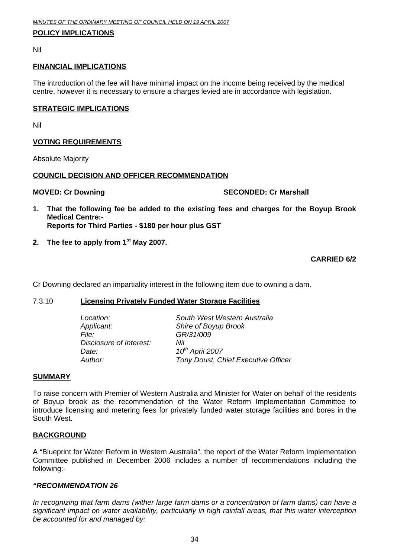#### <span id="page-33-0"></span>**POLICY IMPLICATIONS**

Nil

#### **FINANCIAL IMPLICATIONS**

The introduction of the fee will have minimal impact on the income being received by the medical centre, however it is necessary to ensure a charges levied are in accordance with legislation.

#### **<u>STRATEGIC IMPLICATIONS</u>**

Nil

#### **VOTING REQUIREMENTS**

Absolute Majority

#### **COUNCIL DECISION AND OFFICER RECOMMENDATION**

**MOVED: Cr Downing** 

#### **SECONDED: Cr Marshall**

- **1. That the following fee be added to the existing fees and charges for the Boyup Brook Medical Centre:- Reports for Third Parties - \$180 per hour plus GST**
- 2. The fee to apply from 1<sup>st</sup> May 2007.

#### **CARRIED 6/2**

Cr Downing declared an impartiality interest in the following item due to owning a dam.

#### **7.3.10 <b>Licensing Privately Funded Water Storage Facilities**

| Location:               | Soi      |
|-------------------------|----------|
| Applicant:              | Shi      |
| File:                   | GR       |
| Disclosure of Interest: | Nil      |
| Date:                   | $10^{t}$ |
| Author:                 | Tor      |
|                         |          |

 *Location: South West Western Australia Applicant: Shire of Boyup Brook File: GR/31/009 Date: 10th April 2007*  **Tony Doust, Chief Executive Officer** 

#### **UMMARY S**

To raise concern with Premier of Western Australia and Minister for Water on behalf of the residents South West. of Boyup brook as the recommendation of the Water Reform Implementation Committee to introduce licensing and metering fees for privately funded water storage facilities and bores in the

#### **BACKGROUND**

A "Blueprint for Water Reform in Western Australia", the report of the Water Reform Implementation Committee published in December 2006 includes a number of recommendations including the following:-

#### *"RECO MMENDATION 26*

In recognizing that farm dams (wither large farm dams or a concentration of farm dams) can have a significant impact on water availability, particularly in high rainfall areas, that this water interception *be accounted for and managed by:*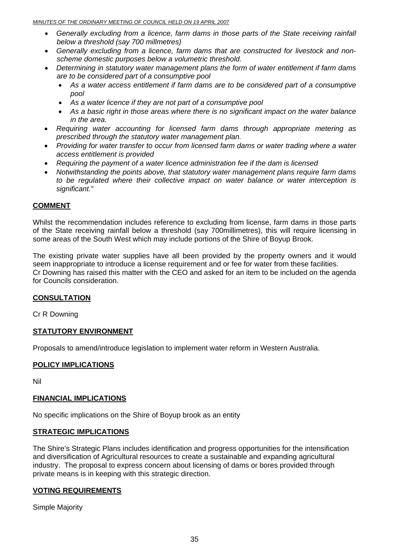- Generally excluding from a licence, farm dams in those parts of the State receiving rainfall *below a threshold (say 700 millmetres)*
- Generally excluding from a licence, farm dams that are constructed for livestock and nonscheme domestic purposes below a volumetric threshold.
- Determining in statutory water management plans the form of water entitlement if farm dams *are to be considered part of a consumptive pool* 
	- As a water access entitlement if farm dams are to be considered part of a consumptive *pool*
	- As a water licence if they are not part of a consumptive pool
	- **•** As a basic right in those areas where there is no significant impact on the water balance *in the area.*
- prescribed through the statutory water management plan. *Requiring water accounting for licensed farm dams through appropriate metering as*
- *Providing for water transfer to occur from licensed farm dams or water trading where a water s entitlement is provided acces* •
- *Requiring the payment of a water licence administration fee if the dam is licensed*
- *Notwithstanding the points above, that statutory water management plans require farm dams to be regulated where their collective impact on water balance or water interception is significant."*

#### **COMMENT**

Whilst the recommendation includes reference to excluding from license, farm dams in those parts of the State receiving rainfall below a threshold (say 700millimetres), this will require licensing in some areas of the South West which may include portions of the Shire of Boyup Brook.

The existing private water supplies have all been provided by the property owners and it would seem inappropriate to introduce a license requirement and or fee for water from these facilities. Cr Downing has raised this matter with the CEO and asked for an item to be included on the agenda for Councils consideration.

#### **CONSULTATION**

Cr R Downing

#### **STATUTORY ENVIRONMENT**

Proposals to amend/introduce legislation to implement water reform in Western Australia.

#### **POLICY IMPLICATIONS**

Nil

#### **FINANCIAL IMPLICATIONS**

No specific implications on the Shire of Boyup brook as an entity

#### **STRATEGIC IMPLICATIONS**

The Shire's Strategic Plans includes identification and progress opportunities for the intensification and diversification of Agricultural resources to create a sustainable and expanding agricultural industry. The proposal to express concern about licensing of dams or bores provided through private means is in keeping with this strategic direction.

#### <u>**VOTING REQUIREMENTS</u>**</u>

Simple Majority